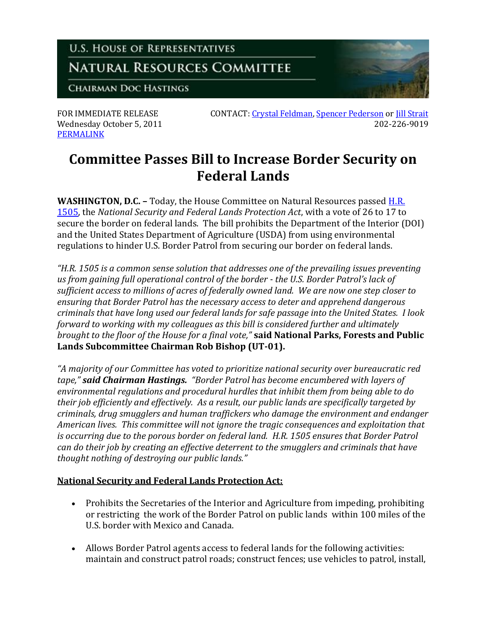

**[PERMALINK](http://naturalresources.house.gov/News/DocumentSingle.aspx?DocumentID=263057)** 

FOR IMMEDIATE RELEASE CONTACT: [Crystal Feldman,](mailto:crystal.feldman@mail.house.gov) [Spencer Pederson](mailto:spencer.pederson@mail.house.gov) or [Jill Strait](mailto:jill.strait@mail.house.gov) Wednesday October 5, 2011 202-226-9019

## **Committee Passes Bill to Increase Border Security on Federal Lands**

**WASHINGTON, D.C. –** Today, the House Committee on Natural Resources passe[d H.R.](http://thomas.loc.gov/cgi-bin/query/z?c112:H.R.1505:)  [1505,](http://thomas.loc.gov/cgi-bin/query/z?c112:H.R.1505:) the *National Security and Federal Lands Protection Act*, with a vote of 26 to 17 to secure the border on federal lands. The bill prohibits the Department of the Interior (DOI) and the United States Department of Agriculture (USDA) from using environmental regulations to hinder U.S. Border Patrol from securing our border on federal lands.

*"H.R. 1505 is a common sense solution that addresses one of the prevailing issues preventing us from gaining full operational control of the border - the U.S. Border Patrol's lack of sufficient access to millions of acres of federally owned land. We are now one step closer to ensuring that Border Patrol has the necessary access to deter and apprehend dangerous criminals that have long used our federal lands for safe passage into the United States. I look forward to working with my colleagues as this bill is considered further and ultimately brought to the floor of the House for a final vote,"* **said National Parks, Forests and Public Lands Subcommittee Chairman Rob Bishop (UT-01).**

*"A majority of our Committee has voted to prioritize national security over bureaucratic red tape," said Chairman Hastings. "Border Patrol has become encumbered with layers of environmental regulations and procedural hurdles that inhibit them from being able to do their job efficiently and effectively. As a result, our public lands are specifically targeted by criminals, drug smugglers and human traffickers who damage the environment and endanger American lives. This committee will not ignore the tragic consequences and exploitation that is occurring due to the porous border on federal land. H.R. 1505 ensures that Border Patrol can do their job by creating an effective deterrent to the smugglers and criminals that have thought nothing of destroying our public lands."*

## **National Security and Federal Lands Protection Act:**

- Prohibits the Secretaries of the Interior and Agriculture from impeding, prohibiting or restricting the work of the Border Patrol on public lands within 100 miles of the U.S. border with Mexico and Canada.
- Allows Border Patrol agents access to federal lands for the following activities: maintain and construct patrol roads; construct fences; use vehicles to patrol, install,